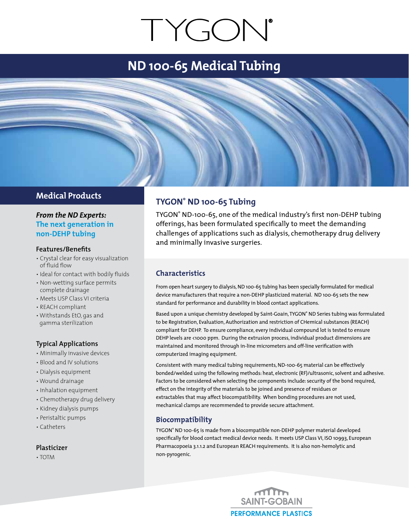# TYGON®

# **ND 100-65 Medical Tubing**

### **Medical Products**

#### *From the ND Experts:* **The next generation in non-DEHP tubing**

#### **Features/Benefits**

- Crystal clear for easy visualization of fluid flow
- Ideal for contact with bodily fluids
- Non-wetting surface permits complete drainage
- Meets USP Class VI criteria
- REACH compliant
- Withstands EtO, gas and gamma sterilization

#### **Typical Applications**

- Minimally invasive devices
- Blood and IV solutions
- Dialysis equipment
- Wound drainage
- Inhalation equipment
- Chemotherapy drug delivery
- Kidney dialysis pumps
- Peristaltic pumps
- Catheters

#### **Plasticizer**

• TOTM

## **TYGON® ND 100-65 Tubing**

TYGON® ND-100-65, one of the medical industry's first non-DEHP tubing offerings, has been formulated specifically to meet the demanding challenges of applications such as dialysis, chemotherapy drug delivery and minimally invasive surgeries.

#### **Characteristics**

From open heart surgery to dialysis, ND 100-65 tubing has been specially formulated for medical device manufacturers that require a non-DEHP plasticized material. ND 100-65 sets the new standard for performance and durability in blood contact applications.

Based upon a unique chemistry developed by Saint-Goain, TYGON® ND Series tubing was formulated to be Registration, Evaluation, Authorization and restriction of CHemical substances (REACH) compliant for DEHP. To ensure compliance, every individual compound lot is tested to ensure DEHP levels are <1000 ppm. During the extrusion process, individual product dimensions are maintained and monitored through in-line micrometers and off-line verification with computerized imaging equipment.

Consistent with many medical tubing requirements, ND-100-65 material can be effectively bonded/welded using the following methods: heat, electronic (RF)/ultrasonic, solvent and adhesive. Factors to be considered when selecting the components include: security of the bond required, effect on the integrity of the materials to be joined and presence of residues or extractables that may affect biocompatibility. When bonding procedures are not used, mechanical clamps are recommended to provide secure attachment.

#### **Biocompatibility**

TYGON® ND 100-65 is made from a biocompatible non-DEHP polymer material developed specifically for blood contact medical device needs. It meets USP Class VI, ISO 10993, European Pharmacopoeia 3.1.1.2 and European REACH requirements. It is also non-hemolytic and non-pyrogenic.